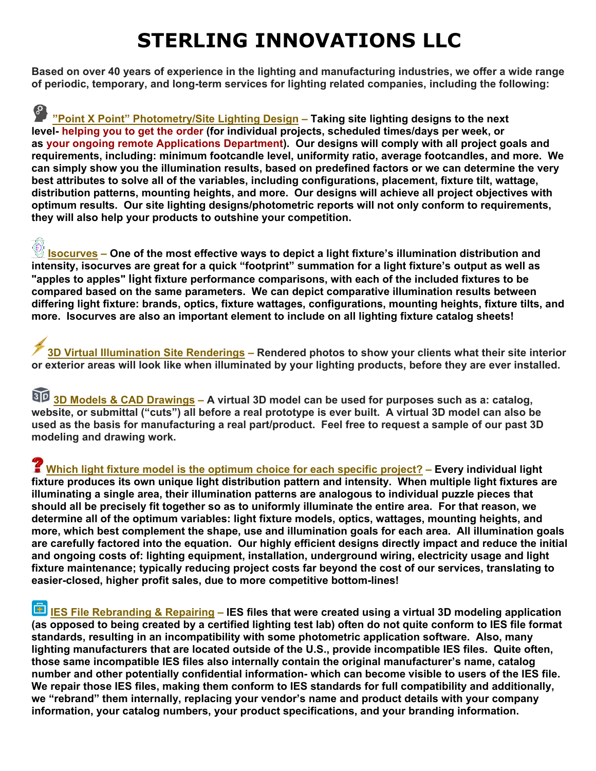## **STERLING INNOVATIONS LLC**

**Based on over 40 years of experience in the lighting and manufacturing industries, we offer a wide range of periodic, temporary, and long-term services for lighting related companies, including the following:** 

**"Point X Point" Photometry/Site Lighting Design – Taking site lighting designs to the next level- helping you to get the order (for individual projects, scheduled times/days per week, or as your ongoing remote Applications Department). Our designs will comply with all project goals and requirements, including: minimum footcandle level, uniformity ratio, average footcandles, and more. We can simply show you the illumination results, based on predefined factors or we can determine the very best attributes to solve all of the variables, including configurations, placement, fixture tilt, wattage, distribution patterns, mounting heights, and more. Our designs will achieve all project objectives with optimum results. Our site lighting designs/photometric reports will not only conform to requirements, they will also help your products to outshine your competition.**

**Isocurves – One of the most effective ways to depict a light fixture's illumination distribution and intensity, isocurves are great for a quick "footprint" summation for a light fixture's output as well as "apples to apples" light fixture performance comparisons, with each of the included fixtures to be compared based on the same parameters. We can depict comparative illumination results between differing light fixture: brands, optics, fixture wattages, configurations, mounting heights, fixture tilts, and more. Isocurves are also an important element to include on all lighting fixture catalog sheets!**

**3D Virtual Illumination Site Renderings – Rendered photos to show your clients what their site interior or exterior areas will look like when illuminated by your lighting products, before they are ever installed.** 

**3D Models & CAD Drawings – A virtual 3D model can be used for purposes such as a: catalog, website, or submittal ("cuts") all before a real prototype is ever built. A virtual 3D model can also be used as the basis for manufacturing a real part/product. Feel free to request a sample of our past 3D modeling and drawing work.** 

 **Which light fixture model is the optimum choice for each specific project? – Every individual light fixture produces its own unique light distribution pattern and intensity. When multiple light fixtures are illuminating a single area, their illumination patterns are analogous to individual puzzle pieces that should all be precisely fit together so as to uniformly illuminate the entire area. For that reason, we determine all of the optimum variables: light fixture models, optics, wattages, mounting heights, and more, which best complement the shape, use and illumination goals for each area. All illumination goals are carefully factored into the equation. Our highly efficient designs directly impact and reduce the initial and ongoing costs of: lighting equipment, installation, underground wiring, electricity usage and light fixture maintenance; typically reducing project costs far beyond the cost of our services, translating to easier-closed, higher profit sales, due to more competitive bottom-lines!** 

**IES File Rebranding & Repairing – IES files that were created using a virtual 3D modeling application (as opposed to being created by a certified lighting test lab) often do not quite conform to IES file format standards, resulting in an incompatibility with some photometric application software. Also, many lighting manufacturers that are located outside of the U.S., provide incompatible IES files. Quite often, those same incompatible IES files also internally contain the original manufacturer's name, catalog number and other potentially confidential information- which can become visible to users of the IES file. We repair those IES files, making them conform to IES standards for full compatibility and additionally, we "rebrand" them internally, replacing your vendor's name and product details with your company information, your catalog numbers, your product specifications, and your branding information.**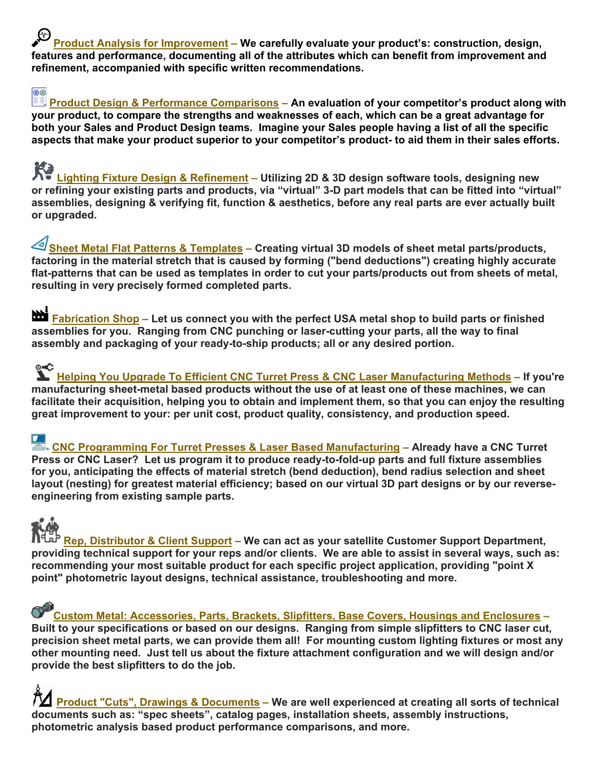**Product Analysis for Improvement – We carefully evaluate your product's: construction, design, features and performance, documenting all of the attributes which can benefit from improvement and refinement, accompanied with specific written recommendations.** 

## ல

 **Product Design & Performance Comparisons – An evaluation of your competitor's product along with your product, to compare the strengths and weaknesses of each, which can be a great advantage for both your Sales and Product Design teams. Imagine your Sales people having a list of all the specific aspects that make your product superior to your competitor's product- to aid them in their sales efforts.** 

**Lighting Fixture Design & Refinement – Utilizing 2D & 3D design software tools, designing new or refining your existing parts and products, via "virtual" 3-D part models that can be fitted into "virtual" assemblies, designing & verifying fit, function & aesthetics, before any real parts are ever actually built or upgraded.**

**Sheet Metal Flat Patterns & Templates – Creating virtual 3D models of sheet metal parts/products, factoring in the material stretch that is caused by forming ("bend deductions") creating highly accurate flat-patterns that can be used as templates in order to cut your parts/products out from sheets of metal, resulting in very precisely formed completed parts.** 

**Reset Fabrication Shop – Let us connect you with the perfect USA metal shop to build parts or finished assemblies for you. Ranging from CNC punching or laser-cutting your parts, all the way to final assembly and packaging of your ready-to-ship products; all or any desired portion.** 

**Helping You Upgrade To Efficient CNC Turret Press & CNC Laser Manufacturing Methods – If you're manufacturing sheet-metal based products without the use of at least one of these machines, we can facilitate their acquisition, helping you to obtain and implement them, so that you can enjoy the resulting great improvement to your: per unit cost, product quality, consistency, and production speed.**

 **CNC Programming For Turret Presses & Laser Based Manufacturing – Already have a CNC Turret Press or CNC Laser? Let us program it to produce ready-to-fold-up parts and full fixture assemblies for you, anticipating the effects of material stretch (bend deduction), bend radius selection and sheet layout (nesting) for greatest material efficiency; based on our virtual 3D part designs or by our reverseengineering from existing sample parts.** 

## **Rep, Distributor & Client Support – We can act as your satellite Customer Support Department, providing technical support for your reps and/or clients. We are able to assist in several ways, such as: recommending your most suitable product for each specific project application, providing "point X point" photometric layout designs, technical assistance, troubleshooting and more.**

Custom Metal: Accessories, Parts, Brackets, Slipfitters, Base Covers, Housings and Enclosures – **Built to your specifications or based on our designs. Ranging from simple slipfitters to CNC laser cut, precision sheet metal parts, we can provide them all! For mounting custom lighting fixtures or most any other mounting need. Just tell us about the fixture attachment configuration and we will design and/or provide the best slipfitters to do the job.** 

 **Product "Cuts", Drawings & Documents – We are well experienced at creating all sorts of technical documents such as: "spec sheets", catalog pages, installation sheets, assembly instructions, photometric analysis based product performance comparisons, and more.**